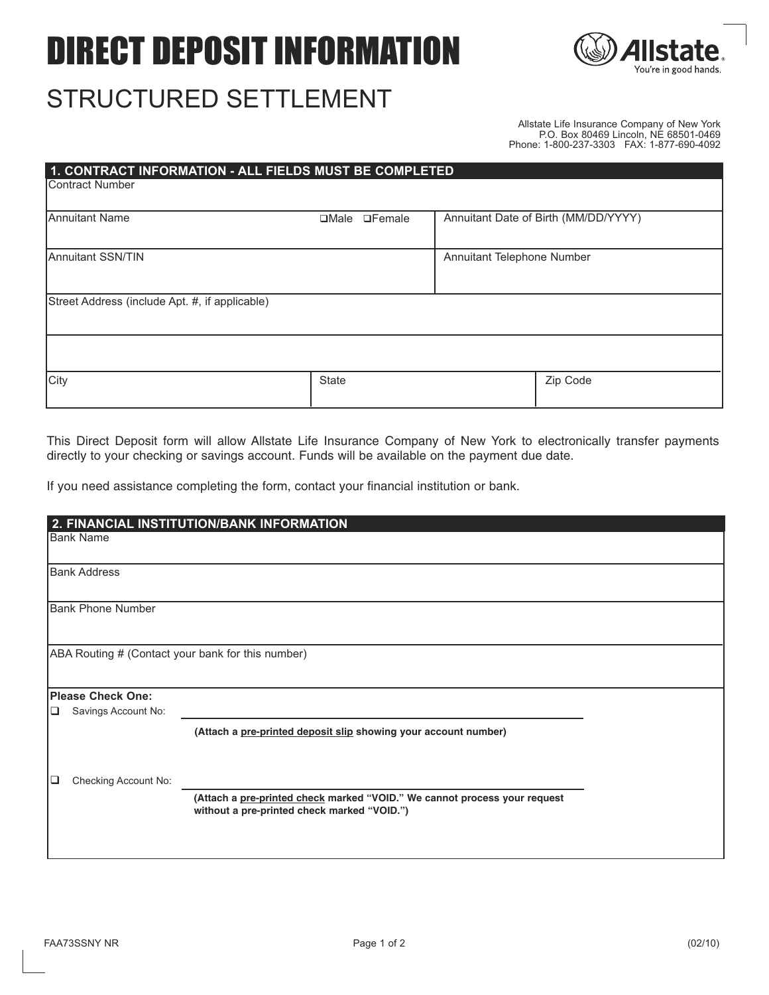# DIRECT DEPOSIT INFORMATION



## STRUCTURED SETTLEMENT

Allstate Life Insurance Company of New York P.O. Box 80469 Lincoln, NE 68501-0469 Phone: 1-800-237-3303 FAX: 1-877-690-4092

| 1. CONTRACT INFORMATION - ALL FIELDS MUST BE COMPLETED |                |               |                            |                                      |  |  |
|--------------------------------------------------------|----------------|---------------|----------------------------|--------------------------------------|--|--|
| <b>IContract Number</b>                                |                |               |                            |                                      |  |  |
|                                                        |                |               |                            |                                      |  |  |
| <b>Annuitant Name</b>                                  | $\square$ Male | $\Box$ Female |                            | Annuitant Date of Birth (MM/DD/YYYY) |  |  |
|                                                        |                |               |                            |                                      |  |  |
| Annuitant SSN/TIN                                      |                |               | Annuitant Telephone Number |                                      |  |  |
|                                                        |                |               |                            |                                      |  |  |
| Street Address (include Apt. #, if applicable)         |                |               |                            |                                      |  |  |
|                                                        |                |               |                            |                                      |  |  |
|                                                        |                |               |                            |                                      |  |  |
|                                                        |                |               |                            |                                      |  |  |
|                                                        |                |               |                            |                                      |  |  |
| City                                                   | <b>State</b>   |               |                            | Zip Code                             |  |  |
|                                                        |                |               |                            |                                      |  |  |

This Direct Deposit form will allow Allstate Life Insurance Company of New York to electronically transfer payments directly to your checking or savings account. Funds will be available on the payment due date.

If you need assistance completing the form, contact your financial institution or bank.

| 2. FINANCIAL INSTITUTION/BANK INFORMATION         |                          |                                                                                                                          |  |  |  |
|---------------------------------------------------|--------------------------|--------------------------------------------------------------------------------------------------------------------------|--|--|--|
|                                                   | Bank Name                |                                                                                                                          |  |  |  |
|                                                   | <b>Bank Address</b>      |                                                                                                                          |  |  |  |
|                                                   | <b>Bank Phone Number</b> |                                                                                                                          |  |  |  |
| ABA Routing # (Contact your bank for this number) |                          |                                                                                                                          |  |  |  |
|                                                   | <b>Please Check One:</b> |                                                                                                                          |  |  |  |
| ⊔                                                 | Savings Account No:      |                                                                                                                          |  |  |  |
|                                                   |                          | (Attach a pre-printed deposit slip showing your account number)                                                          |  |  |  |
| ⊡                                                 | Checking Account No:     |                                                                                                                          |  |  |  |
|                                                   |                          | (Attach a pre-printed check marked "VOID." We cannot process your request<br>without a pre-printed check marked "VOID.") |  |  |  |